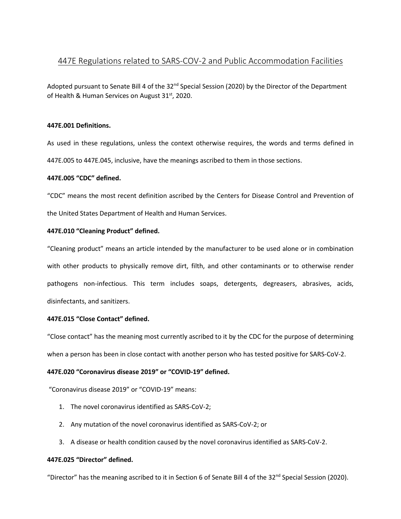# 447E Regulations related to SARS-COV-2 and Public Accommodation Facilities

Adopted pursuant to Senate Bill 4 of the 32<sup>nd</sup> Special Session (2020) by the Director of the Department of Health & Human Services on August 31<sup>st</sup>, 2020.

# **447E.001 Definitions.**

As used in these regulations, unless the context otherwise requires, the words and terms defined in 447E.005 to 447E.045, inclusive, have the meanings ascribed to them in those sections.

# **447E.005 "CDC" defined.**

"CDC" means the most recent definition ascribed by the Centers for Disease Control and Prevention of the United States Department of Health and Human Services.

# **447E.010 "Cleaning Product" defined.**

"Cleaning product" means an article intended by the manufacturer to be used alone or in combination with other products to physically remove dirt, filth, and other contaminants or to otherwise render pathogens non-infectious. This term includes soaps, detergents, degreasers, abrasives, acids, disinfectants, and sanitizers.

# **447E.015 "Close Contact" defined.**

"Close contact" has the meaning most currently ascribed to it by the CDC for the purpose of determining when a person has been in close contact with another person who has tested positive for SARS-CoV-2.

# **447E.020 "Coronavirus disease 2019" or "COVID-19" defined.**

"Coronavirus disease 2019" or "COVID-19" means:

- 1. The novel coronavirus identified as SARS-CoV-2;
- 2. Any mutation of the novel coronavirus identified as SARS-CoV-2; or
- 3. A disease or health condition caused by the novel coronavirus identified as SARS-CoV-2.

# **447E.025 "Director" defined.**

"Director" has the meaning ascribed to it in Section 6 of Senate Bill 4 of the 32<sup>nd</sup> Special Session (2020).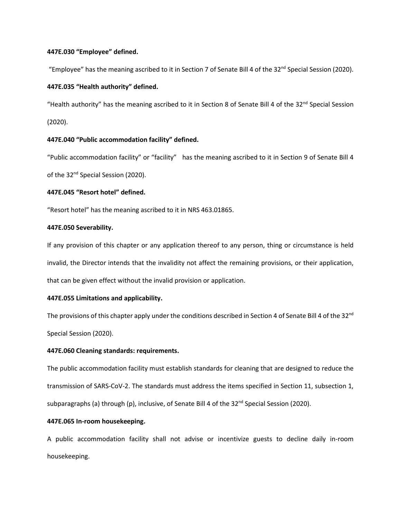## **447E.030 "Employee" defined.**

"Employee" has the meaning ascribed to it in Section 7 of Senate Bill 4 of the 32<sup>nd</sup> Special Session (2020).

## **447E.035 "Health authority" defined.**

"Health authority" has the meaning ascribed to it in Section 8 of Senate Bill 4 of the 32<sup>nd</sup> Special Session (2020).

## **447E.040 "Public accommodation facility" defined.**

"Public accommodation facility" or "facility" has the meaning ascribed to it in Section 9 of Senate Bill 4 of the 32<sup>nd</sup> Special Session (2020).

## **447E.045 "Resort hotel" defined.**

"Resort hotel" has the meaning ascribed to it in NRS 463.01865.

## **447E.050 Severability.**

If any provision of this chapter or any application thereof to any person, thing or circumstance is held invalid, the Director intends that the invalidity not affect the remaining provisions, or their application, that can be given effect without the invalid provision or application.

#### **447E.055 Limitations and applicability.**

The provisions of this chapter apply under the conditions described in Section 4 of Senate Bill 4 of the 32<sup>nd</sup> Special Session (2020).

## **447E.060 Cleaning standards: requirements.**

The public accommodation facility must establish standards for cleaning that are designed to reduce the transmission of SARS-CoV-2. The standards must address the items specified in Section 11, subsection 1, subparagraphs (a) through (p), inclusive, of Senate Bill 4 of the 32<sup>nd</sup> Special Session (2020).

## **447E.065 In-room housekeeping.**

A public accommodation facility shall not advise or incentivize guests to decline daily in-room housekeeping.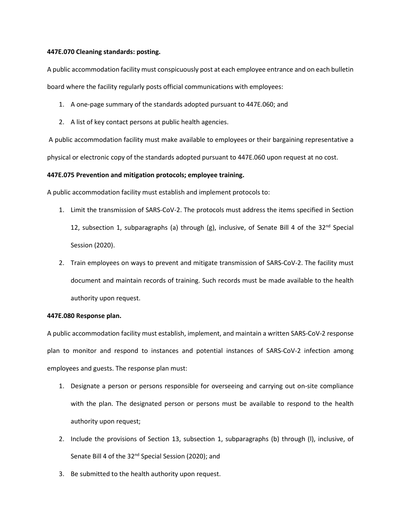### **447E.070 Cleaning standards: posting.**

A public accommodation facility must conspicuously post at each employee entrance and on each bulletin board where the facility regularly posts official communications with employees:

- 1. A one-page summary of the standards adopted pursuant to 447E.060; and
- 2. A list of key contact persons at public health agencies.

A public accommodation facility must make available to employees or their bargaining representative a physical or electronic copy of the standards adopted pursuant to 447E.060 upon request at no cost.

## **447E.075 Prevention and mitigation protocols; employee training.**

A public accommodation facility must establish and implement protocols to:

- 1. Limit the transmission of SARS-CoV-2. The protocols must address the items specified in Section 12, subsection 1, subparagraphs (a) through (g), inclusive, of Senate Bill 4 of the  $32^{nd}$  Special Session (2020).
- 2. Train employees on ways to prevent and mitigate transmission of SARS-CoV-2. The facility must document and maintain records of training. Such records must be made available to the health authority upon request.

### **447E.080 Response plan.**

A public accommodation facility must establish, implement, and maintain a written SARS-CoV-2 response plan to monitor and respond to instances and potential instances of SARS-CoV-2 infection among employees and guests. The response plan must:

- 1. Designate a person or persons responsible for overseeing and carrying out on-site compliance with the plan. The designated person or persons must be available to respond to the health authority upon request;
- 2. Include the provisions of Section 13, subsection 1, subparagraphs (b) through (l), inclusive, of Senate Bill 4 of the 32<sup>nd</sup> Special Session (2020); and
- 3. Be submitted to the health authority upon request.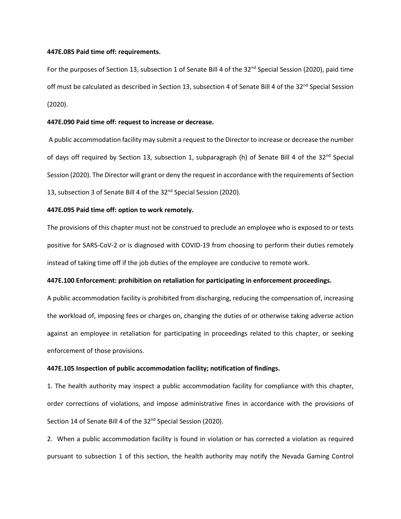#### **447E.085 Paid time off: requirements.**

For the purposes of Section 13, subsection 1 of Senate Bill 4 of the 32<sup>nd</sup> Special Session (2020), paid time off must be calculated as described in Section 13, subsection 4 of Senate Bill 4 of the 32<sup>nd</sup> Special Session (2020).

## **447E.090 Paid time off: request to increase or decrease.**

A public accommodation facility may submit a request to the Director to increase or decrease the number of days off required by Section 13, subsection 1, subparagraph (h) of Senate Bill 4 of the  $32^{nd}$  Special Session (2020). The Director will grant or deny the request in accordance with the requirements of Section 13, subsection 3 of Senate Bill 4 of the 32<sup>nd</sup> Special Session (2020).

## **447E.095 Paid time off: option to work remotely.**

The provisions of this chapter must not be construed to preclude an employee who is exposed to or tests positive for SARS-CoV-2 or is diagnosed with COVID-19 from choosing to perform their duties remotely instead of taking time off if the job duties of the employee are conducive to remote work.

## **447E.100 Enforcement: prohibition on retaliation for participating in enforcement proceedings.**

A public accommodation facility is prohibited from discharging, reducing the compensation of, increasing the workload of, imposing fees or charges on, changing the duties of or otherwise taking adverse action against an employee in retaliation for participating in proceedings related to this chapter, or seeking enforcement of those provisions.

## **447E.105 Inspection of public accommodation facility; notification of findings.**

1. The health authority may inspect a public accommodation facility for compliance with this chapter, order corrections of violations, and impose administrative fines in accordance with the provisions of Section 14 of Senate Bill 4 of the 32<sup>nd</sup> Special Session (2020).

2. When a public accommodation facility is found in violation or has corrected a violation as required pursuant to subsection 1 of this section, the health authority may notify the Nevada Gaming Control